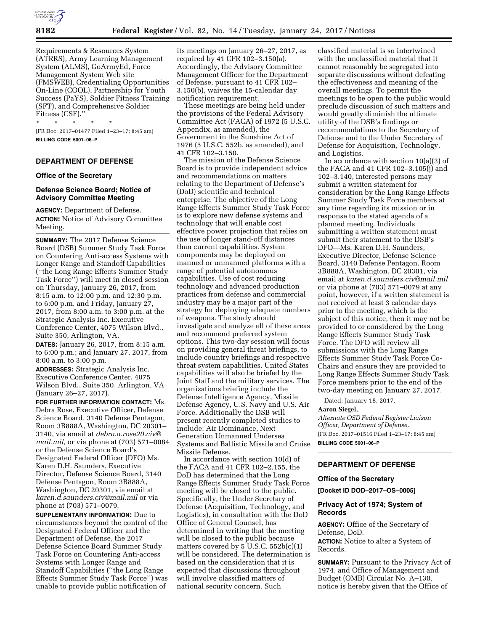

Requirements & Resources System (ATRRS), Army Learning Management System (ALMS), GoArmyEd, Force Management System Web site (FMSWEB), Credentialing Opportunities On-Line (COOL), Partnership for Youth Success (PaYS), Soldier Fitness Training (SFT), and Comprehensive Soldier Fitness (CSF).''

\* \* \* \* \* [FR Doc. 2017–01477 Filed 1–23–17; 8:45 am] **BILLING CODE 5001–06–P** 

# **DEPARTMENT OF DEFENSE**

# **Office of the Secretary**

# **Defense Science Board; Notice of Advisory Committee Meeting**

**AGENCY:** Department of Defense. **ACTION:** Notice of Advisory Committee Meeting.

**SUMMARY:** The 2017 Defense Science Board (DSB) Summer Study Task Force on Countering Anti-access Systems with Longer Range and Standoff Capabilities (''the Long Range Effects Summer Study Task Force'') will meet in closed session on Thursday, January 26, 2017, from 8:15 a.m. to 12:00 p.m. and 12:30 p.m. to 6:00 p.m. and Friday, January 27, 2017, from 8:00 a.m. to 3:00 p.m. at the Strategic Analysis Inc. Executive Conference Center, 4075 Wilson Blvd., Suite 350, Arlington, VA.

**DATES:** January 26, 2017, from 8:15 a.m. to 6:00 p.m.; and January 27, 2017, from 8:00 a.m. to 3:00 p.m.

**ADDRESSES:** Strategic Analysis Inc. Executive Conference Center, 4075 Wilson Blvd., Suite 350, Arlington, VA (January 26–27, 2017).

**FOR FURTHER INFORMATION CONTACT:** Ms. Debra Rose, Executive Officer, Defense Science Board, 3140 Defense Pentagon, Room 3B888A, Washington, DC 20301– 3140, via email at *[debra.a.rose20.civ@](mailto:debra.a.rose20.civ@mail.mil) [mail.mil,](mailto:debra.a.rose20.civ@mail.mil)* or via phone at (703) 571–0084 or the Defense Science Board's Designated Federal Officer (DFO) Ms. Karen D.H. Saunders, Executive Director, Defense Science Board, 3140 Defense Pentagon, Room 3B888A, Washington, DC 20301, via email at *[karen.d.saunders.civ@mail.mil](mailto:karen.d.saunders.civ@mail.mil)* or via phone at (703) 571–0079.

**SUPPLEMENTARY INFORMATION:** Due to circumstances beyond the control of the Designated Federal Officer and the Department of Defense, the 2017 Defense Science Board Summer Study Task Force on Countering Anti-access Systems with Longer Range and Standoff Capabilities (''the Long Range Effects Summer Study Task Force'') was unable to provide public notification of

its meetings on January 26–27, 2017, as required by 41 CFR 102–3.150(a). Accordingly, the Advisory Committee Management Officer for the Department of Defense, pursuant to 41 CFR 102– 3.150(b), waives the 15-calendar day notification requirement.

These meetings are being held under the provisions of the Federal Advisory Committee Act (FACA) of 1972 (5 U.S.C. Appendix, as amended), the Government in the Sunshine Act of 1976 (5 U.S.C. 552b, as amended), and 41 CFR 102–3.150.

The mission of the Defense Science Board is to provide independent advice and recommendations on matters relating to the Department of Defense's (DoD) scientific and technical enterprise. The objective of the Long Range Effects Summer Study Task Force is to explore new defense systems and technology that will enable cost effective power projection that relies on the use of longer stand-off distances than current capabilities. System components may be deployed on manned or unmanned platforms with a range of potential autonomous capabilities. Use of cost reducing technology and advanced production practices from defense and commercial industry may be a major part of the strategy for deploying adequate numbers of weapons. The study should investigate and analyze all of these areas and recommend preferred system options. This two-day session will focus on providing general threat briefings, to include country briefings and respective threat system capabilities. United States capabilities will also be briefed by the Joint Staff and the military services. The organizations briefing include the Defense Intelligence Agency, Missile Defense Agency, U.S. Navy and U.S. Air Force. Additionally the DSB will present recently completed studies to include: Air Dominance, Next Generation Unmanned Undersea Systems and Ballistic Missile and Cruise Missile Defense.

In accordance with section 10(d) of the FACA and 41 CFR 102–2.155, the DoD has determined that the Long Range Effects Summer Study Task Force meeting will be closed to the public. Specifically, the Under Secretary of Defense (Acquisition, Technology, and Logistics), in consultation with the DoD Office of General Counsel, has determined in writing that the meeting will be closed to the public because matters covered by  $5$  U.S.C.  $552b(c)(1)$ will be considered. The determination is based on the consideration that it is expected that discussions throughout will involve classified matters of national security concern. Such

classified material is so intertwined with the unclassified material that it cannot reasonably be segregated into separate discussions without defeating the effectiveness and meaning of the overall meetings. To permit the meetings to be open to the public would preclude discussion of such matters and would greatly diminish the ultimate utility of the DSB's findings or recommendations to the Secretary of Defense and to the Under Secretary of Defense for Acquisition, Technology, and Logistics.

In accordance with section 10(a)(3) of the FACA and 41 CFR 102–3.105(j) and 102–3.140, interested persons may submit a written statement for consideration by the Long Range Effects Summer Study Task Force members at any time regarding its mission or in response to the stated agenda of a planned meeting. Individuals submitting a written statement must submit their statement to the DSB's DFO—Ms. Karen D.H. Saunders, Executive Director, Defense Science Board, 3140 Defense Pentagon, Room 3B888A, Washington, DC 20301, via email at *[karen.d.saunders.civ@mail.mil](mailto:karen.d.saunders.civ@mail.mil)*  or via phone at (703) 571–0079 at any point, however, if a written statement is not received at least 3 calendar days prior to the meeting, which is the subject of this notice, then it may not be provided to or considered by the Long Range Effects Summer Study Task Force. The DFO will review all submissions with the Long Range Effects Summer Study Task Force Co-Chairs and ensure they are provided to Long Range Effects Summer Study Task Force members prior to the end of the two-day meeting on January 27, 2017.

Dated: January 18, 2017.

#### **Aaron Siegel,**

*Alternate OSD Federal Register Liaison Officer, Department of Defense.*  [FR Doc. 2017–01516 Filed 1–23–17; 8:45 am] **BILLING CODE 5001–06–P** 

# **DEPARTMENT OF DEFENSE**

#### **Office of the Secretary**

**[Docket ID DOD–2017–OS–0005]** 

# **Privacy Act of 1974; System of Records**

**AGENCY:** Office of the Secretary of Defense, DoD. **ACTION:** Notice to alter a System of

Records.

**SUMMARY:** Pursuant to the Privacy Act of 1974, and Office of Management and Budget (OMB) Circular No. A–130, notice is hereby given that the Office of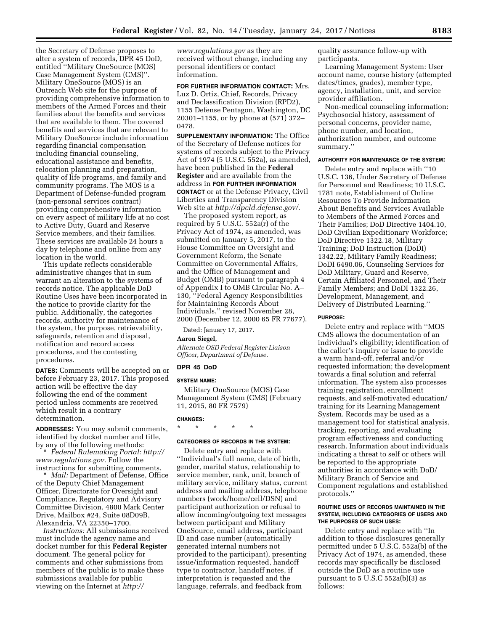the Secretary of Defense proposes to alter a system of records, DPR 45 DoD, entitled ''Military OneSource (MOS) Case Management System (CMS)''. Military OneSource (MOS) is an Outreach Web site for the purpose of providing comprehensive information to members of the Armed Forces and their families about the benefits and services that are available to them. The covered benefits and services that are relevant to Military OneSource include information regarding financial compensation including financial counseling, educational assistance and benefits, relocation planning and preparation, quality of life programs, and family and community programs. The MOS is a Department of Defense-funded program (non-personal services contract) providing comprehensive information on every aspect of military life at no cost to Active Duty, Guard and Reserve Service members, and their families. These services are available 24 hours a day by telephone and online from any location in the world.

This update reflects considerable administrative changes that in sum warrant an alteration to the systems of records notice. The applicable DoD Routine Uses have been incorporated in the notice to provide clarity for the public. Additionally, the categories records, authority for maintenance of the system, the purpose, retrievability, safeguards, retention and disposal, notification and record access procedures, and the contesting procedures.

**DATES:** Comments will be accepted on or before February 23, 2017. This proposed action will be effective the day following the end of the comment period unless comments are received which result in a contrary determination.

**ADDRESSES:** You may submit comments, identified by docket number and title, by any of the following methods:

\* *Federal Rulemaking Portal: [http://](http://www.regulations.gov) [www.regulations.gov.](http://www.regulations.gov)* Follow the instructions for submitting comments.

\* *Mail:* Department of Defense, Office of the Deputy Chief Management Officer, Directorate for Oversight and Compliance, Regulatory and Advisory Committee Division, 4800 Mark Center Drive, Mailbox #24, Suite 08D09B, Alexandria, VA 22350–1700.

*Instructions:* All submissions received must include the agency name and docket number for this **Federal Register**  document. The general policy for comments and other submissions from members of the public is to make these submissions available for public viewing on the Internet at *[http://](http://www.regulations.gov)* 

*[www.regulations.gov](http://www.regulations.gov)* as they are received without change, including any personal identifiers or contact information.

**FOR FURTHER INFORMATION CONTACT:** Mrs. Luz D. Ortiz, Chief, Records, Privacy and Declassification Division (RPD2), 1155 Defense Pentagon, Washington, DC 20301–1155, or by phone at (571) 372– 0478.

**SUPPLEMENTARY INFORMATION:** The Office of the Secretary of Defense notices for systems of records subject to the Privacy Act of 1974 (5 U.S.C. 552a), as amended, have been published in the **Federal Register** and are available from the address in **FOR FURTHER INFORMATION CONTACT** or at the Defense Privacy, Civil Liberties and Transparency Division Web site at *[http://dpcld.defense.gov/.](http://dpcld.defense.gov/)* 

The proposed system report, as required by 5 U.S.C. 552a(r) of the Privacy Act of 1974, as amended, was submitted on January 5, 2017, to the House Committee on Oversight and Government Reform, the Senate Committee on Governmental Affairs, and the Office of Management and Budget (OMB) pursuant to paragraph 4 of Appendix I to OMB Circular No. A– 130, ''Federal Agency Responsibilities for Maintaining Records About Individuals,'' revised November 28, 2000 (December 12, 2000 65 FR 77677).

Dated: January 17, 2017.

## **Aaron Siegel,**

*Alternate OSD Federal Register Liaison Officer, Department of Defense.* 

## **DPR 45 DoD**

### **SYSTEM NAME:**

Military OneSource (MOS) Case Management System (CMS) (February 11, 2015, 80 FR 7579)

#### **CHANGES:**

\* \* \* \* \*

### **CATEGORIES OF RECORDS IN THE SYSTEM:**

Delete entry and replace with ''Individual's full name, date of birth, gender, marital status, relationship to service member, rank, unit, branch of military service, military status, current address and mailing address, telephone numbers (work/home/cell/DSN) and participant authorization or refusal to allow incoming/outgoing text messages between participant and Military OneSource, email address, participant ID and case number (automatically generated internal numbers not provided to the participant), presenting issue/information requested, handoff type to contractor, handoff notes, if interpretation is requested and the language, referrals, and feedback from

quality assurance follow-up with participants.

Learning Management System: User account name, course history (attempted dates/times, grades), member type, agency, installation, unit, and service provider affiliation.

Non-medical counseling information: Psychosocial history, assessment of personal concerns, provider name, phone number, and location, authorization number, and outcome summary.''

#### **AUTHORITY FOR MAINTENANCE OF THE SYSTEM:**

Delete entry and replace with ''10 U.S.C. 136, Under Secretary of Defense for Personnel and Readiness; 10 U.S.C. 1781 note, Establishment of Online Resources To Provide Information About Benefits and Services Available to Members of the Armed Forces and Their Families; DoD Directive 1404.10, DoD Civilian Expeditionary Workforce; DoD Directive 1322.18, Military Training; DoD Instruction (DoDI) 1342.22, Military Family Readiness; DoDI 6490.06, Counseling Services for DoD Military, Guard and Reserve, Certain Affiliated Personnel, and Their Family Members; and DoDI 1322.26, Development, Management, and Delivery of Distributed Learning.''

#### **PURPOSE:**

Delete entry and replace with ''MOS CMS allows the documentation of an individual's eligibility; identification of the caller's inquiry or issue to provide a warm hand-off, referral and/or requested information; the development towards a final solution and referral information. The system also processes training registration, enrollment requests, and self-motivated education/ training for its Learning Management System. Records may be used as a management tool for statistical analysis, tracking, reporting, and evaluating program effectiveness and conducting research. Information about individuals indicating a threat to self or others will be reported to the appropriate authorities in accordance with DoD/ Military Branch of Service and Component regulations and established protocols.''

### **ROUTINE USES OF RECORDS MAINTAINED IN THE SYSTEM, INCLUDING CATEGORIES OF USERS AND THE PURPOSES OF SUCH USES:**

Delete entry and replace with ''In addition to those disclosures generally permitted under 5 U.S.C. 552a(b) of the Privacy Act of 1974, as amended, these records may specifically be disclosed outside the DoD as a routine use pursuant to 5 U.S.C 552a(b)(3) as follows: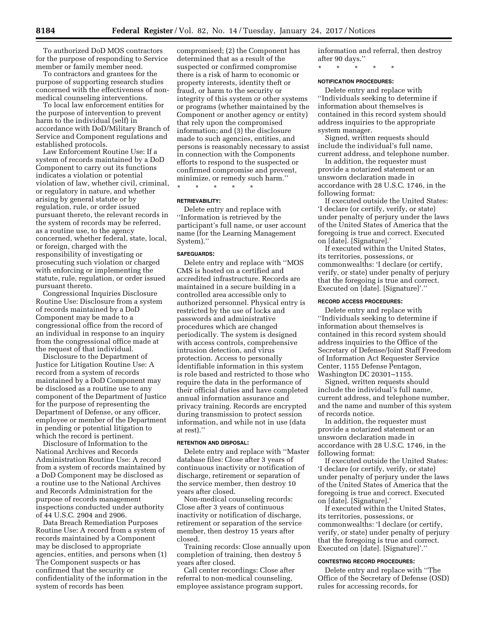To authorized DoD MOS contractors for the purpose of responding to Service member or family member need.

To contractors and grantees for the purpose of supporting research studies concerned with the effectiveness of nonmedical counseling interventions.

To local law enforcement entities for the purpose of intervention to prevent harm to the individual (self) in accordance with DoD/Military Branch of Service and Component regulations and established protocols.

Law Enforcement Routine Use: If a system of records maintained by a DoD Component to carry out its functions indicates a violation or potential violation of law, whether civil, criminal, or regulatory in nature, and whether arising by general statute or by regulation, rule, or order issued pursuant thereto, the relevant records in the system of records may be referred, as a routine use, to the agency concerned, whether federal, state, local, or foreign, charged with the responsibility of investigating or prosecuting such violation or charged with enforcing or implementing the statute, rule, regulation, or order issued pursuant thereto.

Congressional Inquiries Disclosure Routine Use: Disclosure from a system of records maintained by a DoD Component may be made to a congressional office from the record of an individual in response to an inquiry from the congressional office made at the request of that individual.

Disclosure to the Department of Justice for Litigation Routine Use: A record from a system of records maintained by a DoD Component may be disclosed as a routine use to any component of the Department of Justice for the purpose of representing the Department of Defense, or any officer, employee or member of the Department in pending or potential litigation to which the record is pertinent.

Disclosure of Information to the National Archives and Records Administration Routine Use: A record from a system of records maintained by a DoD Component may be disclosed as a routine use to the National Archives and Records Administration for the purpose of records management inspections conducted under authority of 44 U.S.C. 2904 and 2906.

Data Breach Remediation Purposes Routine Use: A record from a system of records maintained by a Component may be disclosed to appropriate agencies, entities, and persons when (1) The Component suspects or has confirmed that the security or confidentiality of the information in the system of records has been

compromised; (2) the Component has determined that as a result of the suspected or confirmed compromise there is a risk of harm to economic or property interests, identity theft or fraud, or harm to the security or integrity of this system or other systems or programs (whether maintained by the Component or another agency or entity) that rely upon the compromised information; and (3) the disclosure made to such agencies, entities, and persons is reasonably necessary to assist in connection with the Components efforts to respond to the suspected or confirmed compromise and prevent, minimize, or remedy such harm.''

\* \* \* \* \*

# **RETRIEVABILITY:**

Delete entry and replace with ''Information is retrieved by the participant's full name, or user account name (for the Learning Management System).''

#### **SAFEGUARDS:**

Delete entry and replace with ''MOS CMS is hosted on a certified and accredited infrastructure. Records are maintained in a secure building in a controlled area accessible only to authorized personnel. Physical entry is restricted by the use of locks and passwords and administrative procedures which are changed periodically. The system is designed with access controls, comprehensive intrusion detection, and virus protection. Access to personally identifiable information in this system is role based and restricted to those who require the data in the performance of their official duties and have completed annual information assurance and privacy training. Records are encrypted during transmission to protect session information, and while not in use (data at rest).''

#### **RETENTION AND DISPOSAL:**

Delete entry and replace with ''Master database files: Close after 3 years of continuous inactivity or notification of discharge, retirement or separation of the service member, then destroy 10 years after closed.

Non-medical counseling records: Close after 3 years of continuous inactivity or notification of discharge, retirement or separation of the service member, then destroy 15 years after closed.

Training records: Close annually upon completion of training, then destroy 5 years after closed.

Call center recordings: Close after referral to non-medical counseling, employee assistance program support, information and referral, then destroy after 90 days.''

\* \* \* \* \*

### **NOTIFICATION PROCEDURES:**

Delete entry and replace with ''Individuals seeking to determine if information about themselves is contained in this record system should address inquiries to the appropriate system manager.

Signed, written requests should include the individual's full name, current address, and telephone number.

In addition, the requester must provide a notarized statement or an unsworn declaration made in accordance with 28 U.S.C. 1746, in the following format:

If executed outside the United States: 'I declare (or certify, verify, or state) under penalty of perjury under the laws of the United States of America that the foregoing is true and correct. Executed on [date]. [Signature].'

If executed within the United States, its territories, possessions, or commonwealths: 'I declare (or certify, verify, or state) under penalty of perjury that the foregoing is true and correct. Executed on [date]. [Signature]'.''

# **RECORD ACCESS PROCEDURES:**

Delete entry and replace with ''Individuals seeking to determine if information about themselves is contained in this record system should address inquiries to the Office of the Secretary of Defense/Joint Staff Freedom of Information Act Requester Service Center, 1155 Defense Pentagon, Washington DC 20301–1155.

Signed, written requests should include the individual's full name, current address, and telephone number, and the name and number of this system of records notice.

In addition, the requester must provide a notarized statement or an unsworn declaration made in accordance with 28 U.S.C. 1746, in the following format:

If executed outside the United States: 'I declare (or certify, verify, or state) under penalty of perjury under the laws of the United States of America that the foregoing is true and correct. Executed on [date]. [Signature].'

If executed within the United States, its territories, possessions, or commonwealths: 'I declare (or certify, verify, or state) under penalty of perjury that the foregoing is true and correct. Executed on [date]. [Signature]'.''

### **CONTESTING RECORD PROCEDURES:**

Delete entry and replace with ''The Office of the Secretary of Defense (OSD) rules for accessing records, for